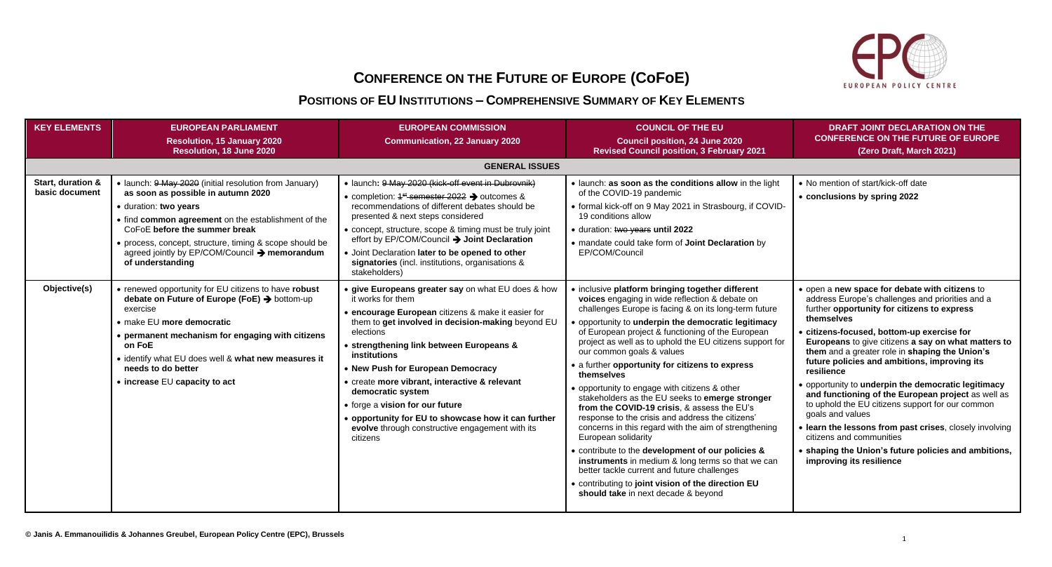

## **CONFERENCE ON THE FUTURE OF EUROPE (CoFoE)**

## **POSITIONS OF EU INSTITUTIONS – COMPREHENSIVE SUMMARY OF KEY ELEMENTS**

| <b>KEY ELEMENTS</b>                 | <b>EUROPEAN PARLIAMENT</b><br><b>Resolution, 15 January 2020</b><br>Resolution, 18 June 2020                                                                                                                                                                                                                                                  | <b>EUROPEAN COMMISSION</b><br><b>Communication, 22 January 2020</b>                                                                                                                                                                                                                                                                                                                                                                                                                                                             | <b>COUNCIL OF THE EU</b><br><b>Council position, 24 June 2020</b><br><b>Revised Council position, 3 February 2021</b>                                                                                                                                                                                                                                                                                                                                                                                                                                                                                                                                                                                                                                                                                                                                                                                                                                                          | <b>DRAFT JOINT DECLARATION ON THE</b><br><b>CONFERENCE ON THE FUTURE OF EUROPE</b><br>(Zero Draft, March 2021)                                                                                                                                                                                                                                                                                                                                                                                                                                                                                                                                                                                                                                       |
|-------------------------------------|-----------------------------------------------------------------------------------------------------------------------------------------------------------------------------------------------------------------------------------------------------------------------------------------------------------------------------------------------|---------------------------------------------------------------------------------------------------------------------------------------------------------------------------------------------------------------------------------------------------------------------------------------------------------------------------------------------------------------------------------------------------------------------------------------------------------------------------------------------------------------------------------|--------------------------------------------------------------------------------------------------------------------------------------------------------------------------------------------------------------------------------------------------------------------------------------------------------------------------------------------------------------------------------------------------------------------------------------------------------------------------------------------------------------------------------------------------------------------------------------------------------------------------------------------------------------------------------------------------------------------------------------------------------------------------------------------------------------------------------------------------------------------------------------------------------------------------------------------------------------------------------|------------------------------------------------------------------------------------------------------------------------------------------------------------------------------------------------------------------------------------------------------------------------------------------------------------------------------------------------------------------------------------------------------------------------------------------------------------------------------------------------------------------------------------------------------------------------------------------------------------------------------------------------------------------------------------------------------------------------------------------------------|
|                                     |                                                                                                                                                                                                                                                                                                                                               | <b>GENERAL ISSUES</b>                                                                                                                                                                                                                                                                                                                                                                                                                                                                                                           |                                                                                                                                                                                                                                                                                                                                                                                                                                                                                                                                                                                                                                                                                                                                                                                                                                                                                                                                                                                |                                                                                                                                                                                                                                                                                                                                                                                                                                                                                                                                                                                                                                                                                                                                                      |
| Start, duration &<br>basic document | • launch: 9 May 2020 (initial resolution from January)<br>as soon as possible in autumn 2020<br>· duration: two years<br>• find common agreement on the establishment of the<br>CoFoE before the summer break<br>• process, concept, structure, timing & scope should be<br>agreed jointly by EP/COM/Council → memorandum<br>of understanding | · launch: 9 May 2020 (kick-off event in Dubrovnik)<br>• completion: 4 <sup>st</sup> semester 2022 > outcomes &<br>recommendations of different debates should be<br>presented & next steps considered<br>• concept, structure, scope & timing must be truly joint<br>effort by EP/COM/Council > Joint Declaration<br>• Joint Declaration later to be opened to other<br>signatories (incl. institutions, organisations &<br>stakeholders)                                                                                       | • launch: as soon as the conditions allow in the light<br>of the COVID-19 pandemic<br>• formal kick-off on 9 May 2021 in Strasbourg, if COVID-<br>19 conditions allow<br>· duration: two years until 2022<br>• mandate could take form of Joint Declaration by<br>EP/COM/Council                                                                                                                                                                                                                                                                                                                                                                                                                                                                                                                                                                                                                                                                                               | • No mention of start/kick-off date<br>• conclusions by spring 2022                                                                                                                                                                                                                                                                                                                                                                                                                                                                                                                                                                                                                                                                                  |
| Objective(s)                        | • renewed opportunity for EU citizens to have robust<br>debate on Future of Europe (FoE) → bottom-up<br>exercise<br>• make EU more democratic<br>• permanent mechanism for engaging with citizens<br>on FoE<br>• identify what EU does well & what new measures it<br>needs to do better<br>• increase EU capacity to act                     | • give Europeans greater say on what EU does & how<br>it works for them<br>• encourage European citizens & make it easier for<br>them to get involved in decision-making beyond EU<br>elections<br>• strengthening link between Europeans &<br>institutions<br>• New Push for European Democracy<br>• create more vibrant, interactive & relevant<br>democratic system<br>• forge a vision for our future<br>• opportunity for EU to showcase how it can further<br>evolve through constructive engagement with its<br>citizens | • inclusive platform bringing together different<br>voices engaging in wide reflection & debate on<br>challenges Europe is facing & on its long-term future<br>• opportunity to underpin the democratic legitimacy<br>of European project & functioning of the European<br>project as well as to uphold the EU citizens support for<br>our common goals & values<br>• a further opportunity for citizens to express<br>themselves<br>• opportunity to engage with citizens & other<br>stakeholders as the EU seeks to emerge stronger<br>from the COVID-19 crisis, & assess the EU's<br>response to the crisis and address the citizens'<br>concerns in this regard with the aim of strengthening<br>European solidarity<br>• contribute to the development of our policies &<br>instruments in medium & long terms so that we can<br>better tackle current and future challenges<br>• contributing to joint vision of the direction EU<br>should take in next decade & beyond | • open a new space for debate with citizens to<br>address Europe's challenges and priorities and a<br>further opportunity for citizens to express<br>themselves<br>· citizens-focused, bottom-up exercise for<br>Europeans to give citizens a say on what matters to<br>them and a greater role in shaping the Union's<br>future policies and ambitions, improving its<br>resilience<br>• opportunity to underpin the democratic legitimacy<br>and functioning of the European project as well as<br>to uphold the EU citizens support for our common<br>goals and values<br>· learn the lessons from past crises, closely involving<br>citizens and communities<br>• shaping the Union's future policies and ambitions,<br>improving its resilience |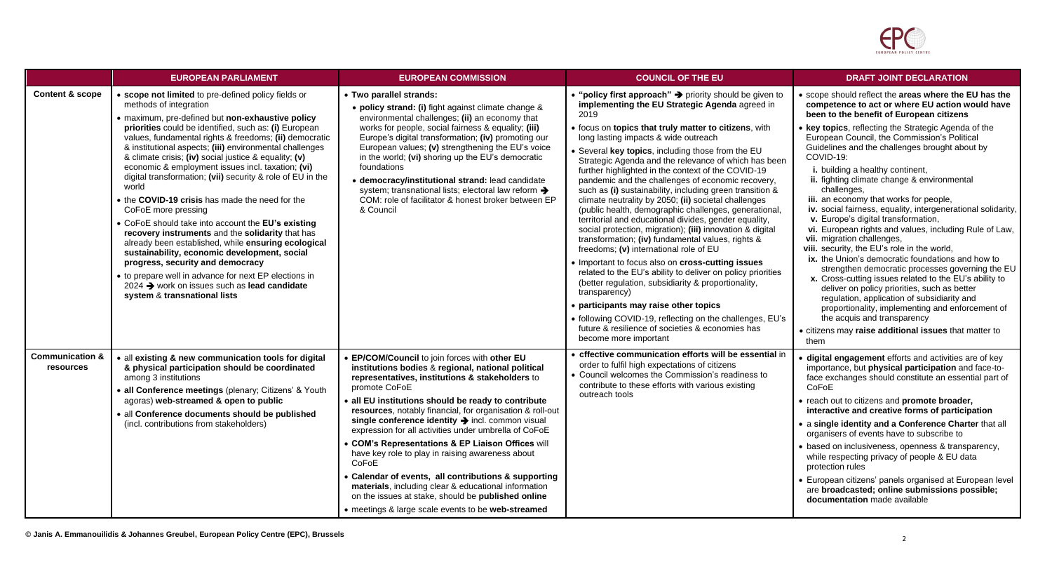

|                                         | <b>EUROPEAN PARLIAMENT</b>                                                                                                                                                                                                                                                                                                                                                                                                                                                                                                                                                                                                                                                                                                                                                                                                                                                                                                                                                   | <b>EUROPEAN COMMISSION</b>                                                                                                                                                                                                                                                                                                                                                                                                                                                                                                                                                                                                                                                                                                                             | <b>COUNCIL OF THE EU</b>                                                                                                                                                                                                                                                                                                                                                                                                                                                                                                                                                                                                                                                                                                                                                                                                                                                                                                                                                                                                                                                                                                                                                                                                   | <b>DRAFT JOINT DECLARATION</b>                                                                                                                                                                                                                                                                                                                                                                                                                                                                                                                                                                                                                                                                                                                                                                                                                                                                                                                                                                                                                                                                                                              |
|-----------------------------------------|------------------------------------------------------------------------------------------------------------------------------------------------------------------------------------------------------------------------------------------------------------------------------------------------------------------------------------------------------------------------------------------------------------------------------------------------------------------------------------------------------------------------------------------------------------------------------------------------------------------------------------------------------------------------------------------------------------------------------------------------------------------------------------------------------------------------------------------------------------------------------------------------------------------------------------------------------------------------------|--------------------------------------------------------------------------------------------------------------------------------------------------------------------------------------------------------------------------------------------------------------------------------------------------------------------------------------------------------------------------------------------------------------------------------------------------------------------------------------------------------------------------------------------------------------------------------------------------------------------------------------------------------------------------------------------------------------------------------------------------------|----------------------------------------------------------------------------------------------------------------------------------------------------------------------------------------------------------------------------------------------------------------------------------------------------------------------------------------------------------------------------------------------------------------------------------------------------------------------------------------------------------------------------------------------------------------------------------------------------------------------------------------------------------------------------------------------------------------------------------------------------------------------------------------------------------------------------------------------------------------------------------------------------------------------------------------------------------------------------------------------------------------------------------------------------------------------------------------------------------------------------------------------------------------------------------------------------------------------------|---------------------------------------------------------------------------------------------------------------------------------------------------------------------------------------------------------------------------------------------------------------------------------------------------------------------------------------------------------------------------------------------------------------------------------------------------------------------------------------------------------------------------------------------------------------------------------------------------------------------------------------------------------------------------------------------------------------------------------------------------------------------------------------------------------------------------------------------------------------------------------------------------------------------------------------------------------------------------------------------------------------------------------------------------------------------------------------------------------------------------------------------|
| <b>Content &amp; scope</b>              | • scope not limited to pre-defined policy fields or<br>methods of integration<br>· maximum, pre-defined but non-exhaustive policy<br>priorities could be identified, such as: (i) European<br>values, fundamental rights & freedoms; (ii) democratic<br>& institutional aspects; (iii) environmental challenges<br>& climate crisis; (iv) social justice & equality; (v)<br>economic & employment issues incl. taxation; (vi)<br>digital transformation; (vii) security & role of EU in the<br>world<br>• the COVID-19 crisis has made the need for the<br>CoFoE more pressing<br>• CoFoE should take into account the EU's existing<br>recovery instruments and the solidarity that has<br>already been established, while ensuring ecological<br>sustainability, economic development, social<br>progress, security and democracy<br>• to prepare well in advance for next EP elections in<br>2024 → work on issues such as lead candidate<br>system & transnational lists | • Two parallel strands:<br>• policy strand: (i) fight against climate change &<br>environmental challenges; (ii) an economy that<br>works for people, social fairness & equality; (iii)<br>Europe's digital transformation; (iv) promoting our<br>European values; (v) strengthening the EU's voice<br>in the world; (vi) shoring up the EU's democratic<br>foundations<br>· democracy/institutional strand: lead candidate<br>system; transnational lists; electoral law reform ><br>COM: role of facilitator & honest broker between EP<br>& Council                                                                                                                                                                                                 | • "policy first approach" > priority should be given to<br>implementing the EU Strategic Agenda agreed in<br>2019<br>• focus on topics that truly matter to citizens, with<br>long lasting impacts & wide outreach<br>• Several key topics, including those from the EU<br>Strategic Agenda and the relevance of which has been<br>further highlighted in the context of the COVID-19<br>pandemic and the challenges of economic recovery,<br>such as (i) sustainability, including green transition &<br>climate neutrality by 2050; (ii) societal challenges<br>(public health, demographic challenges, generational,<br>territorial and educational divides, gender equality,<br>social protection, migration); (iii) innovation & digital<br>transformation; (iv) fundamental values, rights &<br>freedoms; (v) international role of EU<br>• Important to focus also on cross-cutting issues<br>related to the EU's ability to deliver on policy priorities<br>(better regulation, subsidiarity & proportionality,<br>transparency)<br>• participants may raise other topics<br>• following COVID-19, reflecting on the challenges, EU's<br>future & resilience of societies & economies has<br>become more important | • scope should reflect the areas where the EU has the<br>competence to act or where EU action would have<br>been to the benefit of European citizens<br>• key topics, reflecting the Strategic Agenda of the<br>European Council, the Commission's Political<br>Guidelines and the challenges brought about by<br>COVID-19:<br>i. building a healthy continent,<br>ii. fighting climate change & environmental<br>challenges,<br>iii. an economy that works for people,<br>iv. social fairness, equality, intergenerational solidarity,<br>v. Europe's digital transformation,<br>vi. European rights and values, including Rule of Law,<br>vii. migration challenges,<br>viii. security, the EU's role in the world,<br>ix. the Union's democratic foundations and how to<br>strengthen democratic processes governing the EU<br>x. Cross-cutting issues related to the EU's ability to<br>deliver on policy priorities, such as better<br>regulation, application of subsidiarity and<br>proportionality, implementing and enforcement of<br>the acquis and transparency<br>• citizens may raise additional issues that matter to<br>them |
| <b>Communication &amp;</b><br>resources | · all existing & new communication tools for digital<br>& physical participation should be coordinated<br>among 3 institutions<br>· all Conference meetings (plenary; Citizens' & Youth<br>agoras) web-streamed & open to public<br>· all Conference documents should be published<br>(incl. contributions from stakeholders)                                                                                                                                                                                                                                                                                                                                                                                                                                                                                                                                                                                                                                                | • EP/COM/Council to join forces with other EU<br>institutions bodies & regional, national political<br>representatives, institutions & stakeholders to<br>promote CoFoE<br>• all EU institutions should be ready to contribute<br>resources, notably financial, for organisation & roll-out<br>single conference identity > incl. common visual<br>expression for all activities under umbrella of CoFoE<br>• COM's Representations & EP Liaison Offices will<br>have key role to play in raising awareness about<br>CoFoE<br>• Calendar of events, all contributions & supporting<br>materials, including clear & educational information<br>on the issues at stake, should be published online<br>• meetings & large scale events to be web-streamed | • cffective communication efforts will be essential in<br>order to fulfil high expectations of citizens<br>• Council welcomes the Commission's readiness to<br>contribute to these efforts with various existing<br>outreach tools                                                                                                                                                                                                                                                                                                                                                                                                                                                                                                                                                                                                                                                                                                                                                                                                                                                                                                                                                                                         | digital engagement efforts and activities are of key<br>importance, but physical participation and face-to-<br>face exchanges should constitute an essential part of<br>CoFoE<br>• reach out to citizens and promote broader,<br>interactive and creative forms of participation<br>• a single identity and a Conference Charter that all<br>organisers of events have to subscribe to<br>based on inclusiveness, openness & transparency,<br>while respecting privacy of people & EU data<br>protection rules<br>• European citizens' panels organised at European level<br>are broadcasted; online submissions possible;<br>documentation made available                                                                                                                                                                                                                                                                                                                                                                                                                                                                                  |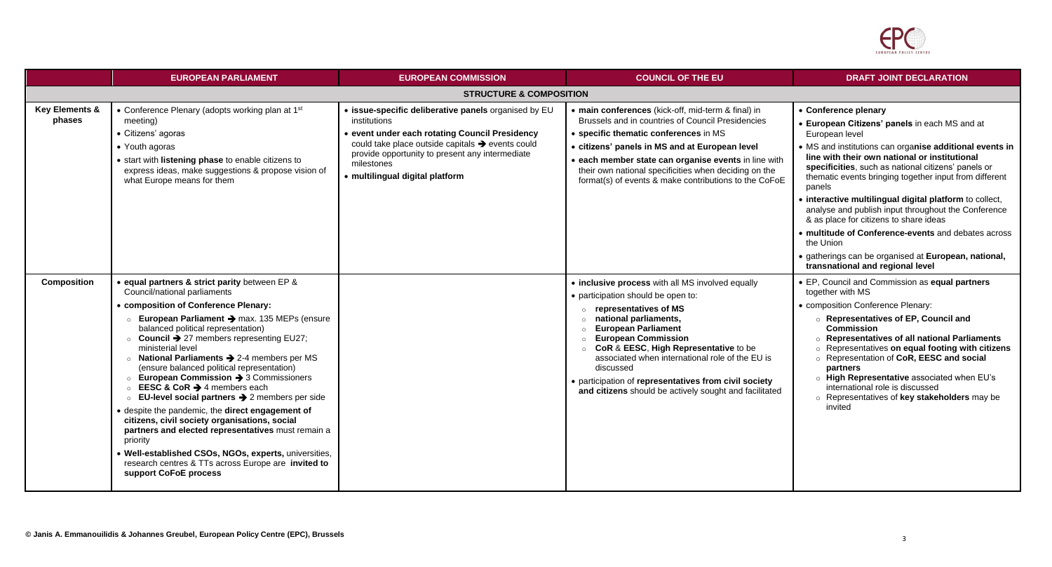

|                                     | <b>EUROPEAN PARLIAMENT</b>                                                                                                                                                                                                                                                                                                                                                                                                                                                                                                                                                                                                                                                                                                                                                                                                                                                                                   | <b>EUROPEAN COMMISSION</b>                                                                                                                                                                                                                                                     | <b>COUNCIL OF THE EU</b>                                                                                                                                                                                                                                                                                                                                                                                                               | <b>DRAFT JOINT DECLARATION</b>                                                                                                                                                                                                                                                                                                                                                                                                                                                                                                                                                                                                                             |  |  |
|-------------------------------------|--------------------------------------------------------------------------------------------------------------------------------------------------------------------------------------------------------------------------------------------------------------------------------------------------------------------------------------------------------------------------------------------------------------------------------------------------------------------------------------------------------------------------------------------------------------------------------------------------------------------------------------------------------------------------------------------------------------------------------------------------------------------------------------------------------------------------------------------------------------------------------------------------------------|--------------------------------------------------------------------------------------------------------------------------------------------------------------------------------------------------------------------------------------------------------------------------------|----------------------------------------------------------------------------------------------------------------------------------------------------------------------------------------------------------------------------------------------------------------------------------------------------------------------------------------------------------------------------------------------------------------------------------------|------------------------------------------------------------------------------------------------------------------------------------------------------------------------------------------------------------------------------------------------------------------------------------------------------------------------------------------------------------------------------------------------------------------------------------------------------------------------------------------------------------------------------------------------------------------------------------------------------------------------------------------------------------|--|--|
|                                     | <b>STRUCTURE &amp; COMPOSITION</b>                                                                                                                                                                                                                                                                                                                                                                                                                                                                                                                                                                                                                                                                                                                                                                                                                                                                           |                                                                                                                                                                                                                                                                                |                                                                                                                                                                                                                                                                                                                                                                                                                                        |                                                                                                                                                                                                                                                                                                                                                                                                                                                                                                                                                                                                                                                            |  |  |
| <b>Key Elements &amp;</b><br>phases | • Conference Plenary (adopts working plan at 1st<br>meeting)<br>• Citizens' agoras<br>• Youth agoras<br>• start with listening phase to enable citizens to<br>express ideas, make suggestions & propose vision of<br>what Europe means for them                                                                                                                                                                                                                                                                                                                                                                                                                                                                                                                                                                                                                                                              | • issue-specific deliberative panels organised by EU<br>institutions<br>· event under each rotating Council Presidency<br>could take place outside capitals > events could<br>provide opportunity to present any intermediate<br>milestones<br>· multilingual digital platform | • main conferences (kick-off, mid-term & final) in<br>Brussels and in countries of Council Presidencies<br>• specific thematic conferences in MS<br>• citizens' panels in MS and at European level<br>• each member state can organise events in line with<br>their own national specificities when deciding on the<br>format(s) of events & make contributions to the CoFoE                                                           | • Conference plenary<br>• European Citizens' panels in each MS and at<br>European level<br>• MS and institutions can organise additional events in<br>line with their own national or institutional<br>specificities, such as national citizens' panels or<br>thematic events bringing together input from different<br>panels<br>· interactive multilingual digital platform to collect,<br>analyse and publish input throughout the Conference<br>& as place for citizens to share ideas<br>• multitude of Conference-events and debates across<br>the Union<br>• gatherings can be organised at European, national,<br>transnational and regional level |  |  |
| <b>Composition</b>                  | • equal partners & strict parity between EP &<br>Council/national parliaments<br>• composition of Conference Plenary:<br>European Parliament > max. 135 MEPs (ensure<br>balanced political representation)<br>$\circ$ Council $\rightarrow$ 27 members representing EU27;<br>ministerial level<br>National Parliaments $\rightarrow$ 2-4 members per MS<br>(ensure balanced political representation)<br>$\circ$ European Commission $\rightarrow$ 3 Commissioners<br><b>EESC &amp; CoR <math>\rightarrow</math></b> 4 members each<br>EU-level social partners $\rightarrow$ 2 members per side<br>despite the pandemic, the direct engagement of<br>citizens, civil society organisations, social<br>partners and elected representatives must remain a<br>priority<br>Well-established CSOs, NGOs, experts, universities,<br>research centres & TTs across Europe are invited to<br>support CoFoE process |                                                                                                                                                                                                                                                                                | • inclusive process with all MS involved equally<br>• participation should be open to:<br>○ representatives of MS<br>o national parliaments,<br><b>European Parliament</b><br><b>European Commission</b><br>○ CoR & EESC, High Representative to be<br>associated when international role of the EU is<br>discussed<br>• participation of representatives from civil society<br>and citizens should be actively sought and facilitated | • EP, Council and Commission as equal partners<br>together with MS<br>• composition Conference Plenary:<br>○ Representatives of EP, Council and<br><b>Commission</b><br>○ Representatives of all national Parliaments<br>○ Representatives on equal footing with citizens<br>o Representation of CoR, EESC and social<br>partners<br>o High Representative associated when EU's<br>international role is discussed<br>○ Representatives of key stakeholders may be<br>invited                                                                                                                                                                              |  |  |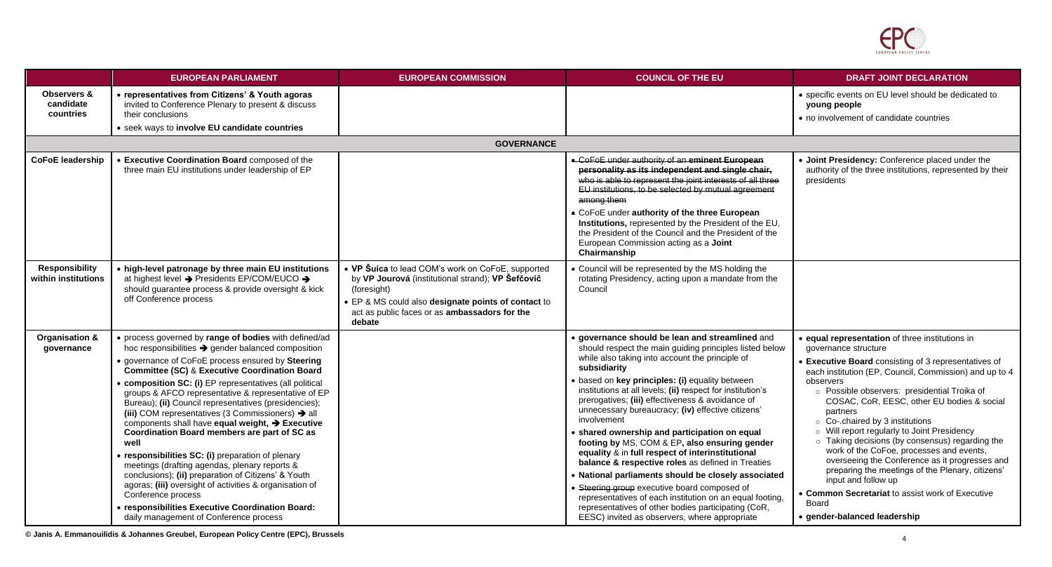

|                                                  | <b>EUROPEAN PARLIAMENT</b>                                                                                                                                                                                                                                                                                                                                                                                                                                                                                                                                                                                                                                                                                                                                                                                                                                                                                                                              | <b>EUROPEAN COMMISSION</b>                                                                                                                                                                                                              | <b>COUNCIL OF THE EU</b>                                                                                                                                                                                                                                                                                                                                                                                                                                                                                                                                                                                                                                                                                                                                                                                                                                                                                     | <b>DRAFT JOINT DECLARATION</b>                                                                                                                                                                                                                                                                                                                                                                                                                                                                                                                                                                                                                                                                                            |
|--------------------------------------------------|---------------------------------------------------------------------------------------------------------------------------------------------------------------------------------------------------------------------------------------------------------------------------------------------------------------------------------------------------------------------------------------------------------------------------------------------------------------------------------------------------------------------------------------------------------------------------------------------------------------------------------------------------------------------------------------------------------------------------------------------------------------------------------------------------------------------------------------------------------------------------------------------------------------------------------------------------------|-----------------------------------------------------------------------------------------------------------------------------------------------------------------------------------------------------------------------------------------|--------------------------------------------------------------------------------------------------------------------------------------------------------------------------------------------------------------------------------------------------------------------------------------------------------------------------------------------------------------------------------------------------------------------------------------------------------------------------------------------------------------------------------------------------------------------------------------------------------------------------------------------------------------------------------------------------------------------------------------------------------------------------------------------------------------------------------------------------------------------------------------------------------------|---------------------------------------------------------------------------------------------------------------------------------------------------------------------------------------------------------------------------------------------------------------------------------------------------------------------------------------------------------------------------------------------------------------------------------------------------------------------------------------------------------------------------------------------------------------------------------------------------------------------------------------------------------------------------------------------------------------------------|
| <b>Observers &amp;</b><br>candidate<br>countries | • representatives from Citizens' & Youth agoras<br>invited to Conference Plenary to present & discuss<br>their conclusions<br>• seek ways to involve EU candidate countries                                                                                                                                                                                                                                                                                                                                                                                                                                                                                                                                                                                                                                                                                                                                                                             |                                                                                                                                                                                                                                         |                                                                                                                                                                                                                                                                                                                                                                                                                                                                                                                                                                                                                                                                                                                                                                                                                                                                                                              | • specific events on EU level should be dedicated to<br>young people<br>• no involvement of candidate countries                                                                                                                                                                                                                                                                                                                                                                                                                                                                                                                                                                                                           |
|                                                  |                                                                                                                                                                                                                                                                                                                                                                                                                                                                                                                                                                                                                                                                                                                                                                                                                                                                                                                                                         | <b>GOVERNANCE</b>                                                                                                                                                                                                                       |                                                                                                                                                                                                                                                                                                                                                                                                                                                                                                                                                                                                                                                                                                                                                                                                                                                                                                              |                                                                                                                                                                                                                                                                                                                                                                                                                                                                                                                                                                                                                                                                                                                           |
| <b>CoFoE leadership</b>                          | • Executive Coordination Board composed of the<br>three main EU institutions under leadership of EP                                                                                                                                                                                                                                                                                                                                                                                                                                                                                                                                                                                                                                                                                                                                                                                                                                                     |                                                                                                                                                                                                                                         | • CoFoE under authority of an eminent European<br>personality as its independent and single chair,<br>who is able to represent the joint interests of all three<br>EU institutions, to be selected by mutual agreement<br>among them<br>• CoFoE under authority of the three European<br>Institutions, represented by the President of the EU,<br>the President of the Council and the President of the<br>European Commission acting as a Joint<br>Chairmanship                                                                                                                                                                                                                                                                                                                                                                                                                                             | . Joint Presidency: Conference placed under the<br>authority of the three institutions, represented by their<br>presidents                                                                                                                                                                                                                                                                                                                                                                                                                                                                                                                                                                                                |
| <b>Responsibility</b><br>within institutions     | • high-level patronage by three main EU institutions<br>at highest level → Presidents EP/COM/EUCO →<br>should guarantee process & provide oversight & kick<br>off Conference process                                                                                                                                                                                                                                                                                                                                                                                                                                                                                                                                                                                                                                                                                                                                                                    | • VP Suica to lead COM's work on CoFoE, supported<br>by VP Jourová (institutional strand); VP Šefčovič<br>(foresight)<br>• EP & MS could also designate points of contact to<br>act as public faces or as ambassadors for the<br>debate | • Council will be represented by the MS holding the<br>rotating Presidency, acting upon a mandate from the<br>Council                                                                                                                                                                                                                                                                                                                                                                                                                                                                                                                                                                                                                                                                                                                                                                                        |                                                                                                                                                                                                                                                                                                                                                                                                                                                                                                                                                                                                                                                                                                                           |
| Organisation &<br>governance                     | • process governed by range of bodies with defined/ad<br>hoc responsibilities $\rightarrow$ gender balanced composition<br>• governance of CoFoE process ensured by Steering<br><b>Committee (SC) &amp; Executive Coordination Board</b><br>• composition SC: (i) EP representatives (all political<br>groups & AFCO representative & representative of EP<br>Bureau); (ii) Council representatives (presidencies);<br>(iii) COM representatives (3 Commissioners) $\rightarrow$ all<br>components shall have equal weight, $\rightarrow$ Executive<br>Coordination Board members are part of SC as<br>well<br>• responsibilities SC: (i) preparation of plenary<br>meetings (drafting agendas, plenary reports &<br>conclusions); (ii) preparation of Citizens' & Youth<br>agoras; (iii) oversight of activities & organisation of<br>Conference process<br>• responsibilities Executive Coordination Board:<br>daily management of Conference process |                                                                                                                                                                                                                                         | · governance should be lean and streamlined and<br>should respect the main guiding principles listed below<br>while also taking into account the principle of<br>subsidiarity<br>· based on key principles: (i) equality between<br>institutions at all levels; (ii) respect for institution's<br>prerogatives; (iii) effectiveness & avoidance of<br>unnecessary bureaucracy; (iv) effective citizens'<br>involvement<br>• shared ownership and participation on equal<br>footing by MS, COM & EP, also ensuring gender<br>equality & in full respect of interinstitutional<br>balance & respective roles as defined in Treaties<br>• National parliaments should be closely associated<br>• Steering group executive board composed of<br>representatives of each institution on an equal footing,<br>representatives of other bodies participating (CoR,<br>EESC) invited as observers, where appropriate | • equal representation of three institutions in<br>governance structure<br>Executive Board consisting of 3 representatives of<br>each institution (EP, Council, Commission) and up to 4<br>observers<br>o Possible observers: presidential Troika of<br>COSAC, CoR, EESC, other EU bodies & social<br>partners<br>○ Co-.chaired by 3 institutions<br>o Will report regularly to Joint Presidency<br>o Taking decisions (by consensus) regarding the<br>work of the CoFoe, processes and events,<br>overseeing the Conference as it progresses and<br>preparing the meetings of the Plenary, citizens'<br>input and follow up<br>• Common Secretariat to assist work of Executive<br>Board<br>· gender-balanced leadership |

**© Janis A. Emmanouilidis & Johannes Greubel, European Policy Centre (EPC), Brussels** <sup>4</sup>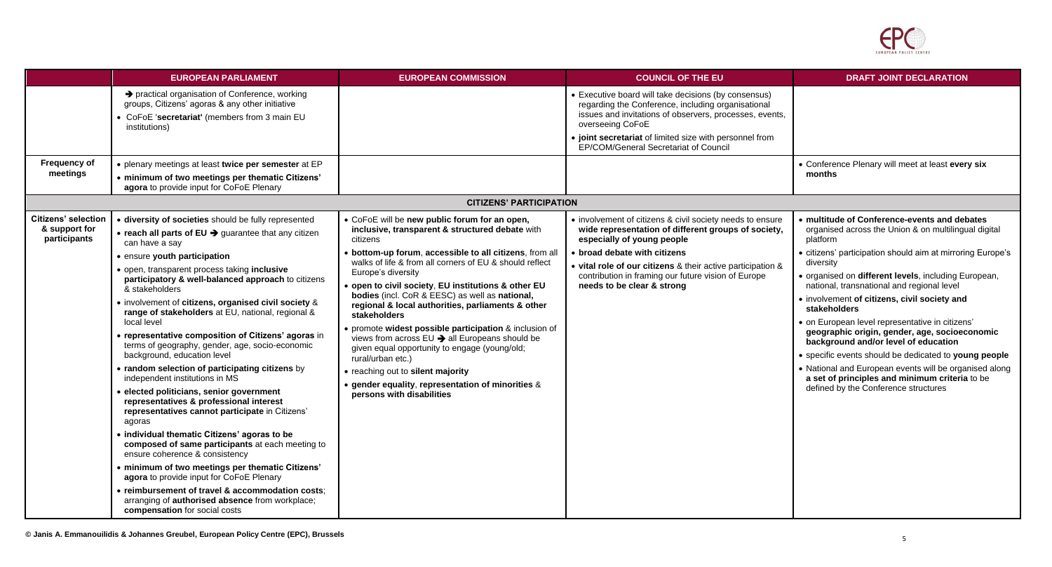

|                                                                                                                                                                                                                                                            | <b>EUROPEAN PARLIAMENT</b>                                                                                                                                                                                                                                                                                                                                                                                                                                                                                                                                                                                                                                                                                                                                                                                                                                                                                                                                                                              | <b>EUROPEAN COMMISSION</b>                                                                                                                                                                                                                                                                                                                                                                                                                                                                                                                                                                                                                                                                                                                | <b>COUNCIL OF THE EU</b>                                                                                                                                                                                                                                                                                                           | <b>DRAFT JOINT DECLARATION</b>                                                                                                                                                                                                                                                                                                                                                                                                                                                                                                                                                                                                                                                                                             |
|------------------------------------------------------------------------------------------------------------------------------------------------------------------------------------------------------------------------------------------------------------|---------------------------------------------------------------------------------------------------------------------------------------------------------------------------------------------------------------------------------------------------------------------------------------------------------------------------------------------------------------------------------------------------------------------------------------------------------------------------------------------------------------------------------------------------------------------------------------------------------------------------------------------------------------------------------------------------------------------------------------------------------------------------------------------------------------------------------------------------------------------------------------------------------------------------------------------------------------------------------------------------------|-------------------------------------------------------------------------------------------------------------------------------------------------------------------------------------------------------------------------------------------------------------------------------------------------------------------------------------------------------------------------------------------------------------------------------------------------------------------------------------------------------------------------------------------------------------------------------------------------------------------------------------------------------------------------------------------------------------------------------------------|------------------------------------------------------------------------------------------------------------------------------------------------------------------------------------------------------------------------------------------------------------------------------------------------------------------------------------|----------------------------------------------------------------------------------------------------------------------------------------------------------------------------------------------------------------------------------------------------------------------------------------------------------------------------------------------------------------------------------------------------------------------------------------------------------------------------------------------------------------------------------------------------------------------------------------------------------------------------------------------------------------------------------------------------------------------------|
| institutions)                                                                                                                                                                                                                                              | → practical organisation of Conference, working<br>groups, Citizens' agoras & any other initiative<br>CoFoE 'secretariat' (members from 3 main EU                                                                                                                                                                                                                                                                                                                                                                                                                                                                                                                                                                                                                                                                                                                                                                                                                                                       |                                                                                                                                                                                                                                                                                                                                                                                                                                                                                                                                                                                                                                                                                                                                           | • Executive board will take decisions (by consensus)<br>regarding the Conference, including organisational<br>issues and invitations of observers, processes, events,<br>overseeing CoFoE<br>• joint secretariat of limited size with personnel from<br>EP/COM/General Secretariat of Council                                      |                                                                                                                                                                                                                                                                                                                                                                                                                                                                                                                                                                                                                                                                                                                            |
| <b>Frequency of</b><br>meetings                                                                                                                                                                                                                            | • plenary meetings at least twice per semester at EP<br>• minimum of two meetings per thematic Citizens'<br>agora to provide input for CoFoE Plenary                                                                                                                                                                                                                                                                                                                                                                                                                                                                                                                                                                                                                                                                                                                                                                                                                                                    |                                                                                                                                                                                                                                                                                                                                                                                                                                                                                                                                                                                                                                                                                                                                           |                                                                                                                                                                                                                                                                                                                                    | • Conference Plenary will meet at least every six<br>months                                                                                                                                                                                                                                                                                                                                                                                                                                                                                                                                                                                                                                                                |
|                                                                                                                                                                                                                                                            |                                                                                                                                                                                                                                                                                                                                                                                                                                                                                                                                                                                                                                                                                                                                                                                                                                                                                                                                                                                                         | <b>CITIZENS' PARTICIPATION</b>                                                                                                                                                                                                                                                                                                                                                                                                                                                                                                                                                                                                                                                                                                            |                                                                                                                                                                                                                                                                                                                                    |                                                                                                                                                                                                                                                                                                                                                                                                                                                                                                                                                                                                                                                                                                                            |
| <b>Citizens' selection</b><br>& support for<br>participants<br>can have a say<br>• ensure youth participation<br>& stakeholders<br>local level<br>background, education level<br>independent institutions in MS<br>agoras<br>compensation for social costs | · diversity of societies should be fully represented<br>$\bullet$ reach all parts of EU $\rightarrow$ guarantee that any citizen<br>• open, transparent process taking inclusive<br>participatory & well-balanced approach to citizens<br>• involvement of citizens, organised civil society &<br>range of stakeholders at EU, national, regional &<br>· representative composition of Citizens' agoras in<br>terms of geography, gender, age, socio-economic<br>• random selection of participating citizens by<br>· elected politicians, senior government<br>representatives & professional interest<br>representatives cannot participate in Citizens'<br>· individual thematic Citizens' agoras to be<br>composed of same participants at each meeting to<br>ensure coherence & consistency<br>• minimum of two meetings per thematic Citizens'<br>agora to provide input for CoFoE Plenary<br>• reimbursement of travel & accommodation costs:<br>arranging of authorised absence from workplace; | • CoFoE will be new public forum for an open,<br>inclusive, transparent & structured debate with<br>citizens<br>bottom-up forum, accessible to all citizens, from all<br>walks of life & from all corners of EU & should reflect<br>Europe's diversity<br>open to civil society, EU institutions & other EU<br>bodies (incl. CoR & EESC) as well as national,<br>regional & local authorities, parliaments & other<br>stakeholders<br>• promote widest possible participation & inclusion of<br>views from across EU → all Europeans should be<br>given equal opportunity to engage (young/old;<br>rural/urban etc.)<br>• reaching out to silent majority<br>gender equality, representation of minorities &<br>persons with disabilities | • involvement of citizens & civil society needs to ensure<br>wide representation of different groups of society,<br>especially of young people<br>• broad debate with citizens<br>• vital role of our citizens & their active participation &<br>contribution in framing our future vision of Europe<br>needs to be clear & strong | • multitude of Conference-events and debates<br>organised across the Union & on multilingual digital<br>platform<br>• citizens' participation should aim at mirroring Europe's<br>diversity<br>· organised on different levels, including European,<br>national, transnational and regional level<br>• involvement of citizens, civil society and<br>stakeholders<br>· on European level representative in citizens'<br>geographic origin, gender, age, socioeconomic<br>background and/or level of education<br>• specific events should be dedicated to young people<br>• National and European events will be organised along<br>a set of principles and minimum criteria to be<br>defined by the Conference structures |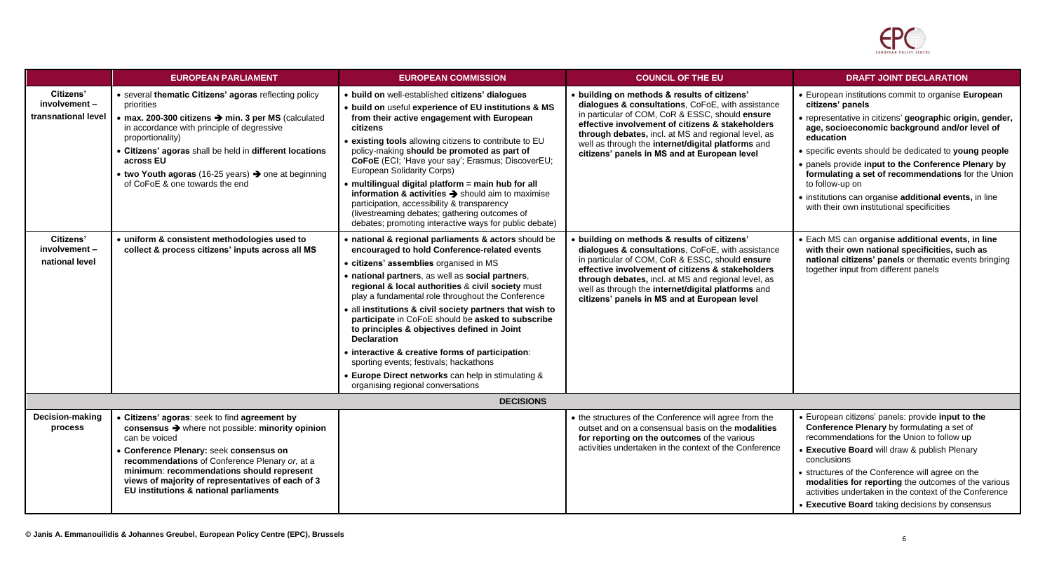

|                                                     | <b>EUROPEAN PARLIAMENT</b>                                                                                                                                                                                                                                                                                                                                                        | <b>EUROPEAN COMMISSION</b>                                                                                                                                                                                                                                                                                                                                                                                                                                                                                                                                                                                                                                                                  | <b>COUNCIL OF THE EU</b>                                                                                                                                                                                                                                                                                                                                              | <b>DRAFT JOINT DECLARATION</b>                                                                                                                                                                                                                                                                                                                                                                                                                                                                     |  |
|-----------------------------------------------------|-----------------------------------------------------------------------------------------------------------------------------------------------------------------------------------------------------------------------------------------------------------------------------------------------------------------------------------------------------------------------------------|---------------------------------------------------------------------------------------------------------------------------------------------------------------------------------------------------------------------------------------------------------------------------------------------------------------------------------------------------------------------------------------------------------------------------------------------------------------------------------------------------------------------------------------------------------------------------------------------------------------------------------------------------------------------------------------------|-----------------------------------------------------------------------------------------------------------------------------------------------------------------------------------------------------------------------------------------------------------------------------------------------------------------------------------------------------------------------|----------------------------------------------------------------------------------------------------------------------------------------------------------------------------------------------------------------------------------------------------------------------------------------------------------------------------------------------------------------------------------------------------------------------------------------------------------------------------------------------------|--|
| Citizens'<br>involvement -<br>transnational level   | · several thematic Citizens' agoras reflecting policy<br>priorities<br>$\bullet$ max. 200-300 citizens $\rightarrow$ min. 3 per MS (calculated<br>in accordance with principle of degressive<br>proportionality)<br>• Citizens' agoras shall be held in different locations<br>across EU<br>• two Youth agoras (16-25 years) > one at beginning<br>of CoFoE & one towards the end | · build on well-established citizens' dialogues<br>• build on useful experience of EU institutions & MS<br>from their active engagement with European<br>citizens<br><b>existing tools</b> allowing citizens to contribute to EU<br>policy-making should be promoted as part of<br>CoFoE (ECI; 'Have your say'; Erasmus; DiscoverEU;<br><b>European Solidarity Corps)</b><br>· multilingual digital platform = main hub for all<br>information & activities $\rightarrow$ should aim to maximise<br>participation, accessibility & transparency<br>(livestreaming debates; gathering outcomes of<br>debates; promoting interactive ways for public debate)                                  | • building on methods & results of citizens'<br>dialogues & consultations, CoFoE, with assistance<br>in particular of COM, CoR & ESSC, should ensure<br>effective involvement of citizens & stakeholders<br>through debates, incl. at MS and regional level, as<br>well as through the internet/digital platforms and<br>citizens' panels in MS and at European level | • European institutions commit to organise European<br>citizens' panels<br>• representative in citizens' geographic origin, gender,<br>age, socioeconomic background and/or level of<br>education<br>• specific events should be dedicated to young people<br>• panels provide input to the Conference Plenary by<br>formulating a set of recommendations for the Union<br>to follow-up on<br>· institutions can organise additional events, in line<br>with their own institutional specificities |  |
| <b>Citizens'</b><br>involvement -<br>national level | • uniform & consistent methodologies used to<br>collect & process citizens' inputs across all MS                                                                                                                                                                                                                                                                                  | · national & regional parliaments & actors should be<br>encouraged to hold Conference-related events<br>• citizens' assemblies organised in MS<br>• national partners, as well as social partners,<br>regional & local authorities & civil society must<br>play a fundamental role throughout the Conference<br>· all institutions & civil society partners that wish to<br>participate in CoFoE should be asked to subscribe<br>to principles & objectives defined in Joint<br><b>Declaration</b><br>• interactive & creative forms of participation:<br>sporting events; festivals; hackathons<br>• Europe Direct networks can help in stimulating &<br>organising regional conversations | • building on methods & results of citizens'<br>dialogues & consultations, CoFoE, with assistance<br>in particular of COM, CoR & ESSC, should ensure<br>effective involvement of citizens & stakeholders<br>through debates, incl. at MS and regional level, as<br>well as through the internet/digital platforms and<br>citizens' panels in MS and at European level | · Each MS can organise additional events, in line<br>with their own national specificities, such as<br>national citizens' panels or thematic events bringing<br>together input from different panels                                                                                                                                                                                                                                                                                               |  |
|                                                     | <b>DECISIONS</b>                                                                                                                                                                                                                                                                                                                                                                  |                                                                                                                                                                                                                                                                                                                                                                                                                                                                                                                                                                                                                                                                                             |                                                                                                                                                                                                                                                                                                                                                                       |                                                                                                                                                                                                                                                                                                                                                                                                                                                                                                    |  |
| Decision-making<br>process                          | • Citizens' agoras: seek to find agreement by<br>consensus $\rightarrow$ where not possible: minority opinion<br>can be voiced<br>Conference Plenary: seek consensus on<br>recommendations of Conference Plenary or, at a<br>minimum: recommendations should represent<br>views of majority of representatives of each of 3<br>EU institutions & national parliaments             |                                                                                                                                                                                                                                                                                                                                                                                                                                                                                                                                                                                                                                                                                             | • the structures of the Conference will agree from the<br>outset and on a consensual basis on the modalities<br>for reporting on the outcomes of the various<br>activities undertaken in the context of the Conference                                                                                                                                                | European citizens' panels: provide input to the<br>Conference Plenary by formulating a set of<br>recommendations for the Union to follow up<br><b>Executive Board will draw &amp; publish Plenary</b><br>conclusions<br>structures of the Conference will agree on the<br>modalities for reporting the outcomes of the various<br>activities undertaken in the context of the Conference<br>• Executive Board taking decisions by consensus                                                        |  |